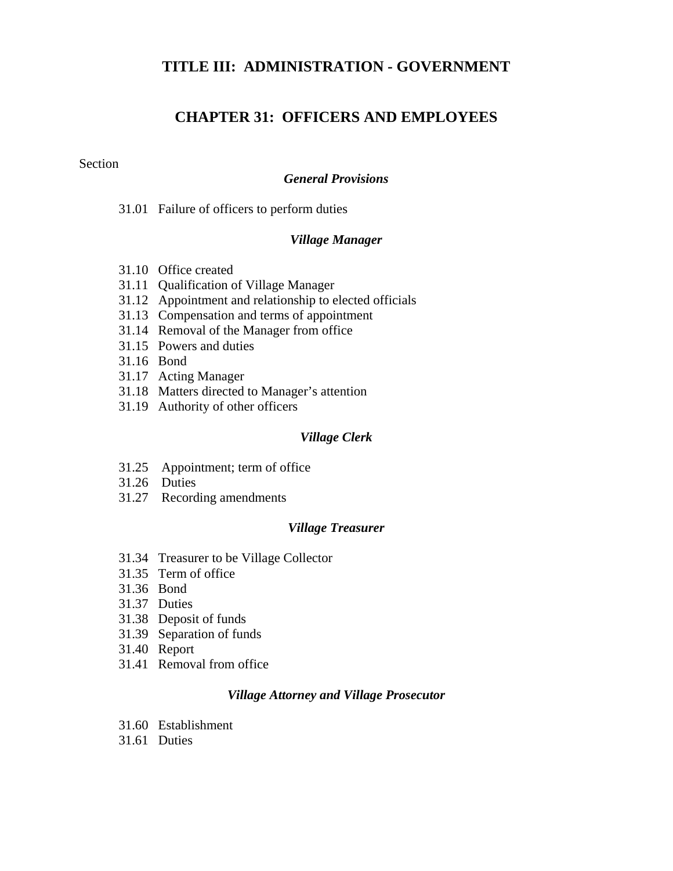### **TITLE III: ADMINISTRATION - GOVERNMENT**

## **CHAPTER 31: OFFICERS AND EMPLOYEES**

#### Section

#### *General Provisions*

31.01 Failure of officers to perform duties

#### *Village Manager*

- 31.10 Office created
- 31.11 Qualification of Village Manager
- 31.12 Appointment and relationship to elected officials
- 31.13 Compensation and terms of appointment
- 31.14 Removal of the Manager from office
- 31.15 Powers and duties
- 31.16 Bond
- 31.17 Acting Manager
- 31.18 Matters directed to Manager's attention
- 31.19 Authority of other officers

#### *Village Clerk*

- 31.25 Appointment; term of office
- 31.26 Duties
- 31.27 Recording amendments

#### *Village Treasurer*

- 31.34 Treasurer to be Village Collector
- 31.35 Term of office
- 31.36 Bond
- 31.37 Duties
- 31.38 Deposit of funds
- 31.39 Separation of funds
- 31.40 Report
- 31.41 Removal from office

#### *Village Attorney and Village Prosecutor*

- 31.60 Establishment
- 31.61 Duties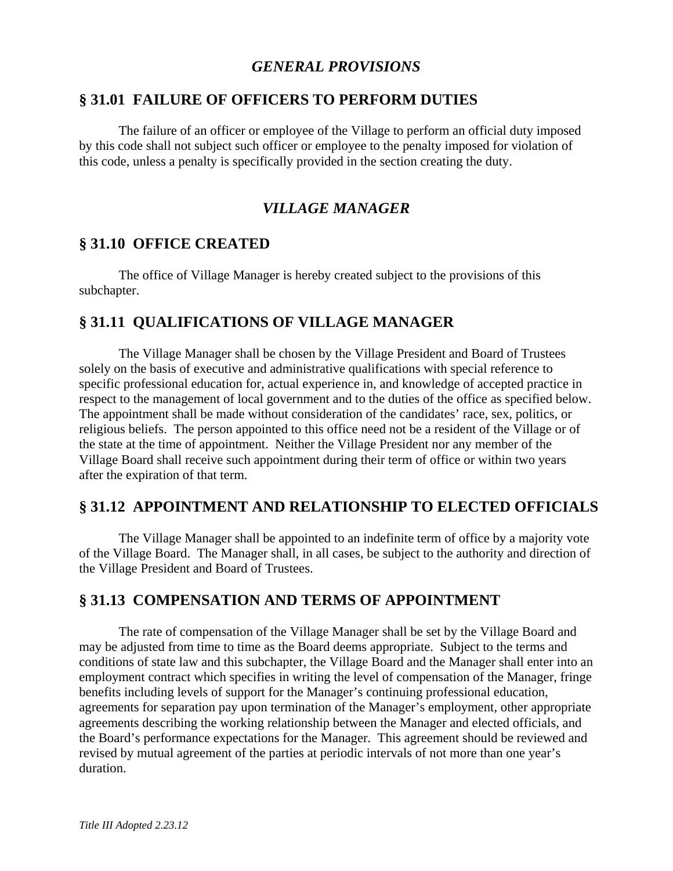### *GENERAL PROVISIONS*

### **§ 31.01 FAILURE OF OFFICERS TO PERFORM DUTIES**

 The failure of an officer or employee of the Village to perform an official duty imposed by this code shall not subject such officer or employee to the penalty imposed for violation of this code, unless a penalty is specifically provided in the section creating the duty.

## *VILLAGE MANAGER*

### **§ 31.10 OFFICE CREATED**

 The office of Village Manager is hereby created subject to the provisions of this subchapter.

# **§ 31.11 QUALIFICATIONS OF VILLAGE MANAGER**

 The Village Manager shall be chosen by the Village President and Board of Trustees solely on the basis of executive and administrative qualifications with special reference to specific professional education for, actual experience in, and knowledge of accepted practice in respect to the management of local government and to the duties of the office as specified below. The appointment shall be made without consideration of the candidates' race, sex, politics, or religious beliefs. The person appointed to this office need not be a resident of the Village or of the state at the time of appointment. Neither the Village President nor any member of the Village Board shall receive such appointment during their term of office or within two years after the expiration of that term.

### **§ 31.12 APPOINTMENT AND RELATIONSHIP TO ELECTED OFFICIALS**

 The Village Manager shall be appointed to an indefinite term of office by a majority vote of the Village Board. The Manager shall, in all cases, be subject to the authority and direction of the Village President and Board of Trustees.

### **§ 31.13 COMPENSATION AND TERMS OF APPOINTMENT**

 The rate of compensation of the Village Manager shall be set by the Village Board and may be adjusted from time to time as the Board deems appropriate. Subject to the terms and conditions of state law and this subchapter, the Village Board and the Manager shall enter into an employment contract which specifies in writing the level of compensation of the Manager, fringe benefits including levels of support for the Manager's continuing professional education, agreements for separation pay upon termination of the Manager's employment, other appropriate agreements describing the working relationship between the Manager and elected officials, and the Board's performance expectations for the Manager. This agreement should be reviewed and revised by mutual agreement of the parties at periodic intervals of not more than one year's duration.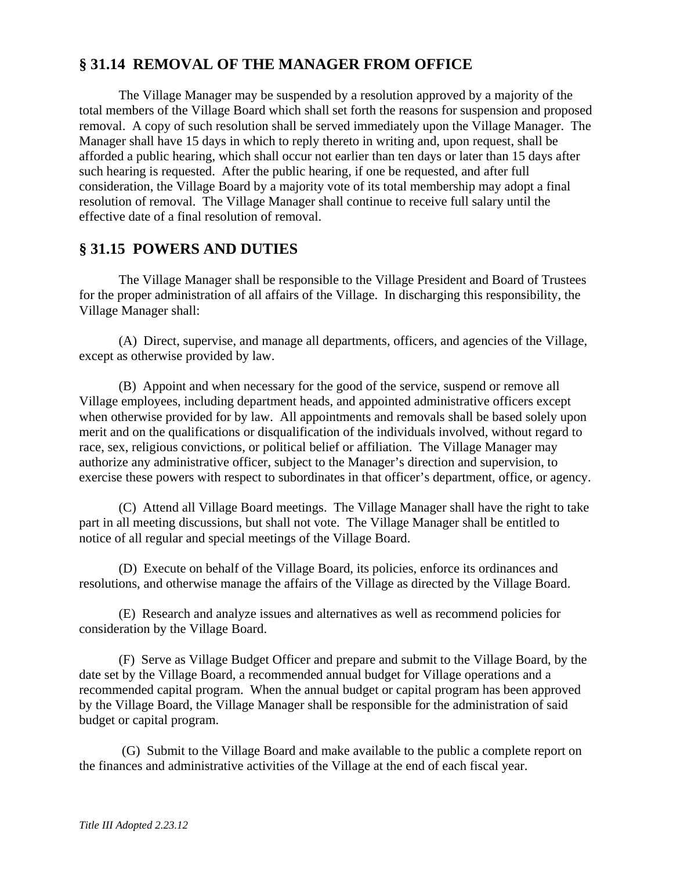# **§ 31.14 REMOVAL OF THE MANAGER FROM OFFICE**

 The Village Manager may be suspended by a resolution approved by a majority of the total members of the Village Board which shall set forth the reasons for suspension and proposed removal. A copy of such resolution shall be served immediately upon the Village Manager. The Manager shall have 15 days in which to reply thereto in writing and, upon request, shall be afforded a public hearing, which shall occur not earlier than ten days or later than 15 days after such hearing is requested. After the public hearing, if one be requested, and after full consideration, the Village Board by a majority vote of its total membership may adopt a final resolution of removal. The Village Manager shall continue to receive full salary until the effective date of a final resolution of removal.

# **§ 31.15 POWERS AND DUTIES**

 The Village Manager shall be responsible to the Village President and Board of Trustees for the proper administration of all affairs of the Village. In discharging this responsibility, the Village Manager shall:

 (A) Direct, supervise, and manage all departments, officers, and agencies of the Village, except as otherwise provided by law.

 (B) Appoint and when necessary for the good of the service, suspend or remove all Village employees, including department heads, and appointed administrative officers except when otherwise provided for by law. All appointments and removals shall be based solely upon merit and on the qualifications or disqualification of the individuals involved, without regard to race, sex, religious convictions, or political belief or affiliation. The Village Manager may authorize any administrative officer, subject to the Manager's direction and supervision, to exercise these powers with respect to subordinates in that officer's department, office, or agency.

 (C) Attend all Village Board meetings. The Village Manager shall have the right to take part in all meeting discussions, but shall not vote. The Village Manager shall be entitled to notice of all regular and special meetings of the Village Board.

 (D) Execute on behalf of the Village Board, its policies, enforce its ordinances and resolutions, and otherwise manage the affairs of the Village as directed by the Village Board.

 (E) Research and analyze issues and alternatives as well as recommend policies for consideration by the Village Board.

 (F) Serve as Village Budget Officer and prepare and submit to the Village Board, by the date set by the Village Board, a recommended annual budget for Village operations and a recommended capital program. When the annual budget or capital program has been approved by the Village Board, the Village Manager shall be responsible for the administration of said budget or capital program.

 (G) Submit to the Village Board and make available to the public a complete report on the finances and administrative activities of the Village at the end of each fiscal year.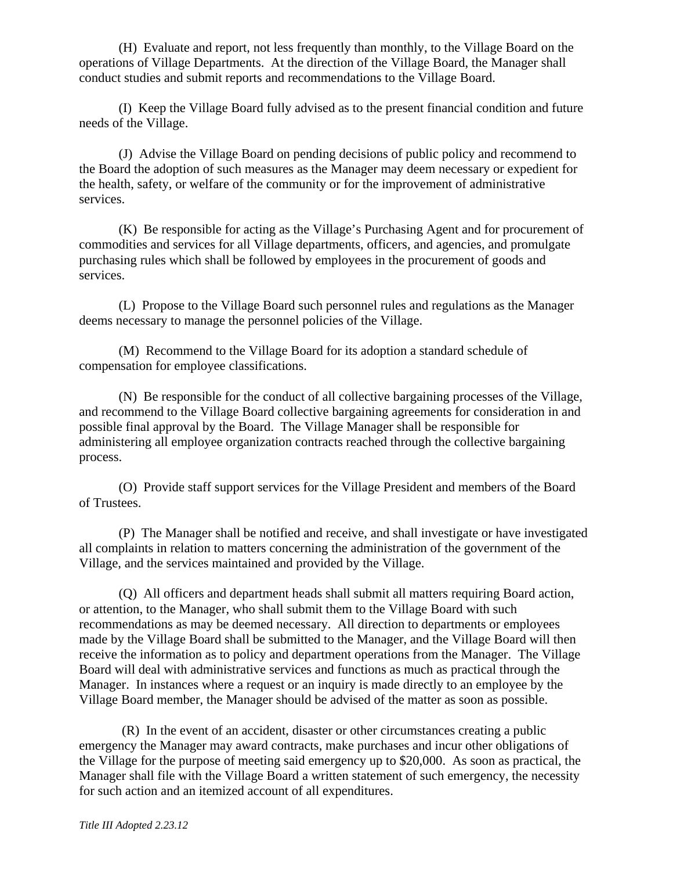(H) Evaluate and report, not less frequently than monthly, to the Village Board on the operations of Village Departments. At the direction of the Village Board, the Manager shall conduct studies and submit reports and recommendations to the Village Board.

 (I) Keep the Village Board fully advised as to the present financial condition and future needs of the Village.

 (J) Advise the Village Board on pending decisions of public policy and recommend to the Board the adoption of such measures as the Manager may deem necessary or expedient for the health, safety, or welfare of the community or for the improvement of administrative services.

 (K) Be responsible for acting as the Village's Purchasing Agent and for procurement of commodities and services for all Village departments, officers, and agencies, and promulgate purchasing rules which shall be followed by employees in the procurement of goods and services.

 (L) Propose to the Village Board such personnel rules and regulations as the Manager deems necessary to manage the personnel policies of the Village.

 (M) Recommend to the Village Board for its adoption a standard schedule of compensation for employee classifications.

 (N) Be responsible for the conduct of all collective bargaining processes of the Village, and recommend to the Village Board collective bargaining agreements for consideration in and possible final approval by the Board. The Village Manager shall be responsible for administering all employee organization contracts reached through the collective bargaining process.

(O) Provide staff support services for the Village President and members of the Board of Trustees.

 (P) The Manager shall be notified and receive, and shall investigate or have investigated all complaints in relation to matters concerning the administration of the government of the Village, and the services maintained and provided by the Village.

 (Q) All officers and department heads shall submit all matters requiring Board action, or attention, to the Manager, who shall submit them to the Village Board with such recommendations as may be deemed necessary. All direction to departments or employees made by the Village Board shall be submitted to the Manager, and the Village Board will then receive the information as to policy and department operations from the Manager. The Village Board will deal with administrative services and functions as much as practical through the Manager. In instances where a request or an inquiry is made directly to an employee by the Village Board member, the Manager should be advised of the matter as soon as possible.

 (R) In the event of an accident, disaster or other circumstances creating a public emergency the Manager may award contracts, make purchases and incur other obligations of the Village for the purpose of meeting said emergency up to \$20,000. As soon as practical, the Manager shall file with the Village Board a written statement of such emergency, the necessity for such action and an itemized account of all expenditures.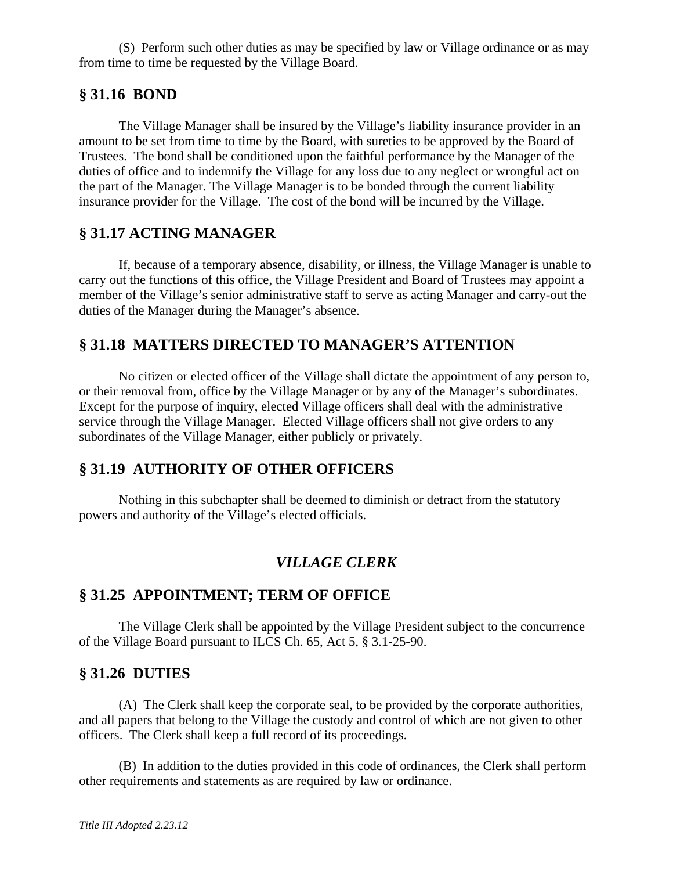(S) Perform such other duties as may be specified by law or Village ordinance or as may from time to time be requested by the Village Board.

### **§ 31.16 BOND**

 The Village Manager shall be insured by the Village's liability insurance provider in an amount to be set from time to time by the Board, with sureties to be approved by the Board of Trustees. The bond shall be conditioned upon the faithful performance by the Manager of the duties of office and to indemnify the Village for any loss due to any neglect or wrongful act on the part of the Manager. The Village Manager is to be bonded through the current liability insurance provider for the Village. The cost of the bond will be incurred by the Village.

### **§ 31.17 ACTING MANAGER**

 If, because of a temporary absence, disability, or illness, the Village Manager is unable to carry out the functions of this office, the Village President and Board of Trustees may appoint a member of the Village's senior administrative staff to serve as acting Manager and carry-out the duties of the Manager during the Manager's absence.

### **§ 31.18 MATTERS DIRECTED TO MANAGER'S ATTENTION**

 No citizen or elected officer of the Village shall dictate the appointment of any person to, or their removal from, office by the Village Manager or by any of the Manager's subordinates. Except for the purpose of inquiry, elected Village officers shall deal with the administrative service through the Village Manager. Elected Village officers shall not give orders to any subordinates of the Village Manager, either publicly or privately.

### **§ 31.19 AUTHORITY OF OTHER OFFICERS**

 Nothing in this subchapter shall be deemed to diminish or detract from the statutory powers and authority of the Village's elected officials.

### *VILLAGE CLERK*

## **§ 31.25 APPOINTMENT; TERM OF OFFICE**

 The Village Clerk shall be appointed by the Village President subject to the concurrence of the Village Board pursuant to ILCS Ch. 65, Act 5, § 3.1-25-90.

### **§ 31.26 DUTIES**

 (A) The Clerk shall keep the corporate seal, to be provided by the corporate authorities, and all papers that belong to the Village the custody and control of which are not given to other officers. The Clerk shall keep a full record of its proceedings.

 (B) In addition to the duties provided in this code of ordinances, the Clerk shall perform other requirements and statements as are required by law or ordinance.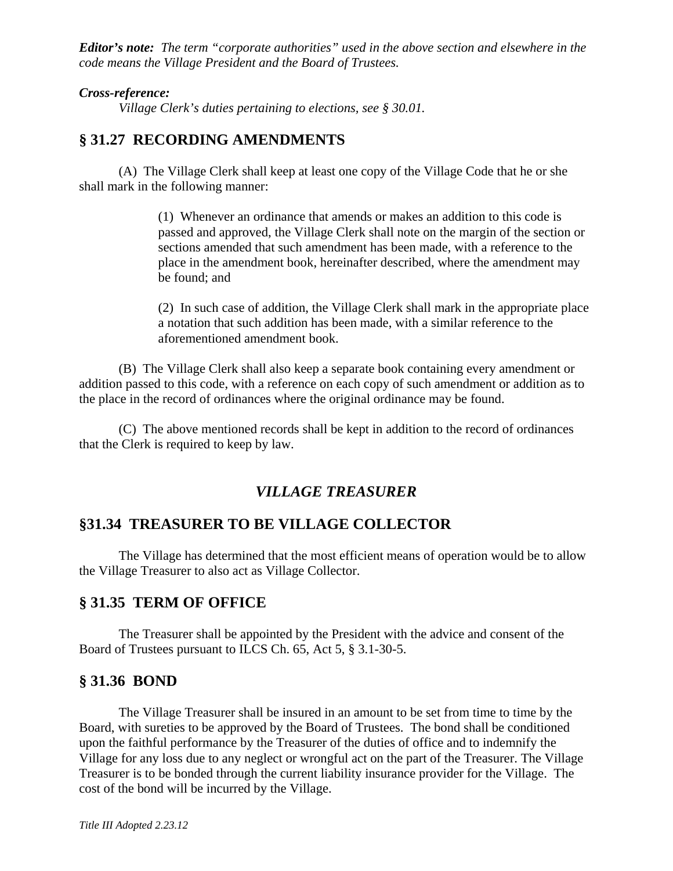*Editor's note: The term "corporate authorities" used in the above section and elsewhere in the code means the Village President and the Board of Trustees.* 

#### *Cross-reference:*

*Village Clerk's duties pertaining to elections, see § 30.01.* 

#### **§ 31.27 RECORDING AMENDMENTS**

 (A) The Village Clerk shall keep at least one copy of the Village Code that he or she shall mark in the following manner:

> (1) Whenever an ordinance that amends or makes an addition to this code is passed and approved, the Village Clerk shall note on the margin of the section or sections amended that such amendment has been made, with a reference to the place in the amendment book, hereinafter described, where the amendment may be found; and

> (2) In such case of addition, the Village Clerk shall mark in the appropriate place a notation that such addition has been made, with a similar reference to the aforementioned amendment book.

 (B) The Village Clerk shall also keep a separate book containing every amendment or addition passed to this code, with a reference on each copy of such amendment or addition as to the place in the record of ordinances where the original ordinance may be found.

 (C) The above mentioned records shall be kept in addition to the record of ordinances that the Clerk is required to keep by law.

#### *VILLAGE TREASURER*

#### **§31.34 TREASURER TO BE VILLAGE COLLECTOR**

 The Village has determined that the most efficient means of operation would be to allow the Village Treasurer to also act as Village Collector.

#### **§ 31.35 TERM OF OFFICE**

The Treasurer shall be appointed by the President with the advice and consent of the Board of Trustees pursuant to ILCS Ch. 65, Act 5, § 3.1-30-5.

#### **§ 31.36 BOND**

 The Village Treasurer shall be insured in an amount to be set from time to time by the Board, with sureties to be approved by the Board of Trustees. The bond shall be conditioned upon the faithful performance by the Treasurer of the duties of office and to indemnify the Village for any loss due to any neglect or wrongful act on the part of the Treasurer. The Village Treasurer is to be bonded through the current liability insurance provider for the Village. The cost of the bond will be incurred by the Village.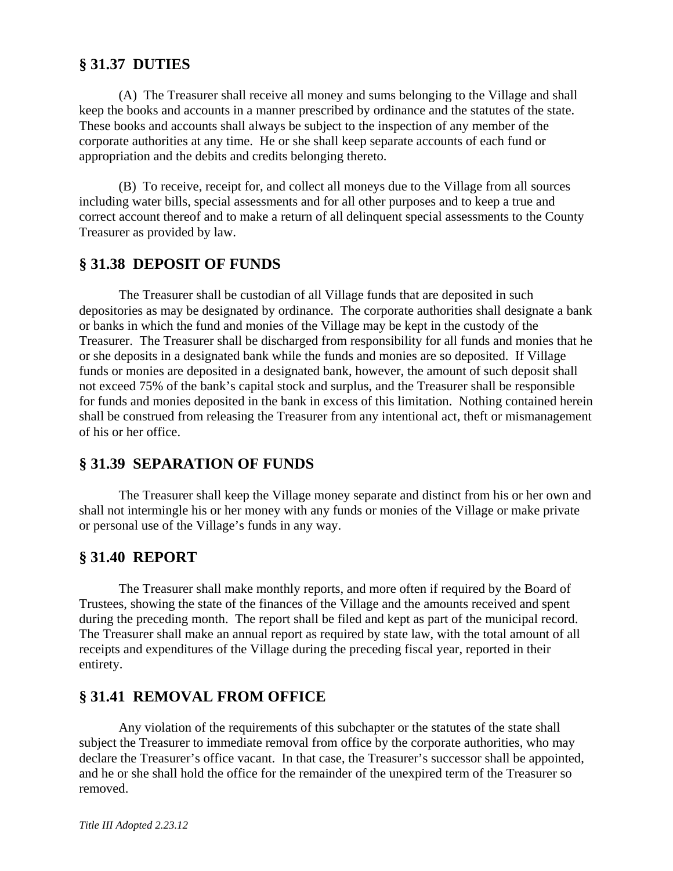## **§ 31.37 DUTIES**

 (A) The Treasurer shall receive all money and sums belonging to the Village and shall keep the books and accounts in a manner prescribed by ordinance and the statutes of the state. These books and accounts shall always be subject to the inspection of any member of the corporate authorities at any time. He or she shall keep separate accounts of each fund or appropriation and the debits and credits belonging thereto.

 (B) To receive, receipt for, and collect all moneys due to the Village from all sources including water bills, special assessments and for all other purposes and to keep a true and correct account thereof and to make a return of all delinquent special assessments to the County Treasurer as provided by law.

# **§ 31.38 DEPOSIT OF FUNDS**

 The Treasurer shall be custodian of all Village funds that are deposited in such depositories as may be designated by ordinance. The corporate authorities shall designate a bank or banks in which the fund and monies of the Village may be kept in the custody of the Treasurer. The Treasurer shall be discharged from responsibility for all funds and monies that he or she deposits in a designated bank while the funds and monies are so deposited. If Village funds or monies are deposited in a designated bank, however, the amount of such deposit shall not exceed 75% of the bank's capital stock and surplus, and the Treasurer shall be responsible for funds and monies deposited in the bank in excess of this limitation. Nothing contained herein shall be construed from releasing the Treasurer from any intentional act, theft or mismanagement of his or her office.

# **§ 31.39 SEPARATION OF FUNDS**

 The Treasurer shall keep the Village money separate and distinct from his or her own and shall not intermingle his or her money with any funds or monies of the Village or make private or personal use of the Village's funds in any way.

# **§ 31.40 REPORT**

 The Treasurer shall make monthly reports, and more often if required by the Board of Trustees, showing the state of the finances of the Village and the amounts received and spent during the preceding month. The report shall be filed and kept as part of the municipal record. The Treasurer shall make an annual report as required by state law, with the total amount of all receipts and expenditures of the Village during the preceding fiscal year, reported in their entirety.

# **§ 31.41 REMOVAL FROM OFFICE**

 Any violation of the requirements of this subchapter or the statutes of the state shall subject the Treasurer to immediate removal from office by the corporate authorities, who may declare the Treasurer's office vacant. In that case, the Treasurer's successor shall be appointed, and he or she shall hold the office for the remainder of the unexpired term of the Treasurer so removed.